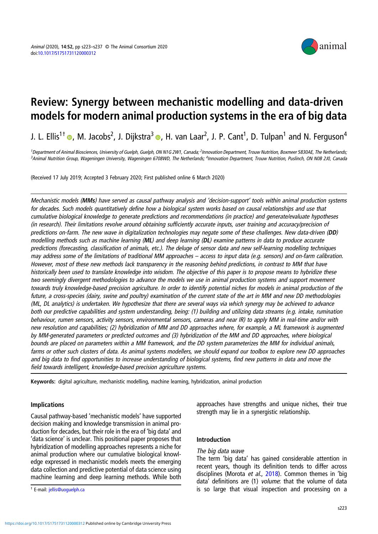

# Review: Synergy between mechanistic modelling and data-driven models for modern animal production systems in the era of big data

J. L. Ellis<sup>1†</sup>  $\bullet$ [,](https://orcid.org/0000-0003-3728-6885) M. Jacobs<sup>2</sup>, J. Dijkstra<sup>3</sup>  $\bullet$ , H. van Laar<sup>2</sup>, J. P. Cant<sup>1</sup>, D. Tulpan<sup>1</sup> and N. Ferguson<sup>4</sup>

<sup>1</sup> Department of Animal Biosciences, University of Guelph, Guelph, ON N1G 2W1, Canada; <sup>2</sup>Innovation Department, Trouw Nutrition, Boxmeer 5830AE, The Netherlands, <sup>3</sup>Animal Nutrition Group, Wageningen University, Wageningen 6708WD, The Netherlands; <sup>4</sup>Innovation Department, Trouw Nutrition, Puslinch, ON N0B 2J0, Canada

(Received 17 July 2019; Accepted 3 February 2020; First published online 6 March 2020)

Mechanistic models (MMs) have served as causal pathway analysis and 'decision-support' tools within animal production systems for decades. Such models quantitatively define how a biological system works based on causal relationships and use that cumulative biological knowledge to generate predictions and recommendations (in practice) and generate/evaluate hypotheses (in research). Their limitations revolve around obtaining sufficiently accurate inputs, user training and accuracy/precision of predictions on-farm. The new wave in digitalization technologies may negate some of these challenges. New data-driven (DD) modelling methods such as machine learning (ML) and deep learning (DL) examine patterns in data to produce accurate predictions (forecasting, classification of animals, etc.). The deluge of sensor data and new self-learning modelling techniques may address some of the limitations of traditional MM approaches – access to input data (e.g. sensors) and on-farm calibration. However, most of these new methods lack transparency in the reasoning behind predictions, in contrast to MM that have historically been used to translate knowledge into wisdom. The objective of this paper is to propose means to hybridize these two seemingly divergent methodologies to advance the models we use in animal production systems and support movement towards truly knowledge-based precision agriculture. In order to identify potential niches for models in animal production of the future, a cross-species (dairy, swine and poultry) examination of the current state of the art in MM and new DD methodologies (ML, DL analytics) is undertaken. We hypothesize that there are several ways via which synergy may be achieved to advance both our predictive capabilities and system understanding, being: (1) building and utilizing data streams (e.g. intake, rumination behaviour, rumen sensors, activity sensors, environmental sensors, cameras and near IR) to apply MM in real-time and/or with new resolution and capabilities; (2) hybridization of MM and DD approaches where, for example, a ML framework is augmented by MM-generated parameters or predicted outcomes and (3) hybridization of the MM and DD approaches, where biological bounds are placed on parameters within a MM framework, and the DD system parameterizes the MM for individual animals, farms or other such clusters of data. As animal systems modellers, we should expand our toolbox to explore new DD approaches and big data to find opportunities to increase understanding of biological systems, find new patterns in data and move the field towards intelligent, knowledge-based precision agriculture systems.

Keywords: digital agriculture, mechanistic modelling, machine learning, hybridization, animal production

# Implications

Causal pathway-based 'mechanistic models' have supported decision making and knowledge transmission in animal production for decades, but their role in the era of 'big data' and 'data science' is unclear. This positional paper proposes that hybridization of modelling approaches represents a niche for animal production where our cumulative biological knowledge expressed in mechanistic models meets the emerging data collection and predictive potential of data science using machine learning and deep learning methods. While both

approaches have strengths and unique niches, their true strength may lie in a synergistic relationship.

# Introduction

# The big data wave

The term 'big data' has gained considerable attention in recent years, though its definition tends to differ across disciplines (Morota et al., [2018\)](#page-13-0). Common themes in 'big data' definitions are (1) volume: that the volume of data is so large that visual inspection and processing on a † E-mail: [jellis@uoguelph.ca](mailto:jellis@uoguelph.ca)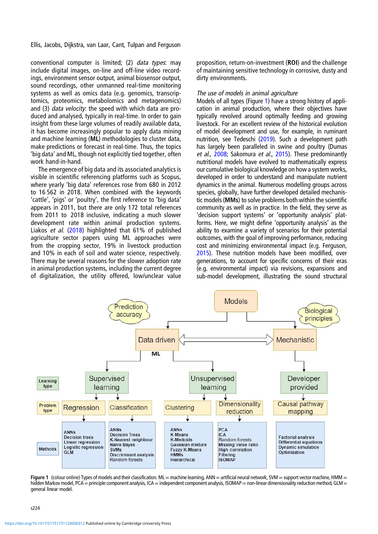<span id="page-1-0"></span>conventional computer is limited; (2) data types: may include digital images, on-line and off-line video recordings, environment sensor output, animal biosensor output, sound recordings, other unmanned real-time monitoring systems as well as omics data (e.g. genomics, transcriptomics, proteomics, metabolomics and metagenomics) and (3) *data velocity*: the speed with which data are produced and analysed, typically in real-time. In order to gain insight from these large volumes of readily available data, it has become increasingly popular to apply data mining and machine learning (ML) methodologies to cluster data, make predictions or forecast in real-time. Thus, the topics 'big data' and ML, though not explicitly tied together, often work hand-in-hand.

The emergence of big data and its associated analytics is visible in scientific referencing platforms such as Scopus, where yearly 'big data' references rose from 680 in 2012 to 16 562 in 2018. When combined with the keywords 'cattle', 'pigs' or 'poultry', the first reference to 'big data' appears in 2011, but there are only 172 total references from 2011 to 2018 inclusive, indicating a much slower development rate within animal production systems. Liakos et al. ([2018\)](#page-13-0) highlighted that 61% of published agriculture sector papers using ML approaches were from the cropping sector, 19% in livestock production and 10% in each of soil and water science, respectively. There may be several reasons for the slower adoption rate in animal production systems, including the current degree of digitalization, the utility offered, low/unclear value

proposition, return-on-investment (ROI) and the challenge of maintaining sensitive technology in corrosive, dusty and dirty environments.

## The use of models in animal agriculture

Models of all types (Figure 1) have a strong history of application in animal production, where their objectives have typically revolved around optimally feeding and growing livestock. For an excellent review of the historical evolution of model development and use, for example, in ruminant nutrition, see Tedeschi [\(2019](#page-14-0)). Such a development path has largely been paralleled in swine and poultry (Dumas et al., [2008](#page-13-0); Sakomura et al., [2015](#page-14-0)). These predominantly nutritional models have evolved to mathematically express our cumulative biological knowledge on how a system works, developed in order to understand and manipulate nutrient dynamics in the animal. Numerous modelling groups across species, globally, have further developed detailed mechanistic models (MMs) to solve problems both within the scientific community as well as in practice. In the field, they serve as 'decision support systems' or 'opportunity analysis' platforms. Here, we might define 'opportunity analysis' as the ability to examine a variety of scenarios for their potential outcomes, with the goal of improving performance, reducing cost and minimizing environmental impact (e.g. Ferguson, [2015](#page-13-0)). These nutrition models have been modified, over generations, to account for specific concerns of their eras (e.g. environmental impact) via revisions, expansions and sub-model development, illustrating the sound structural



Figure 1 (colour online) Types of models and their classification. ML = machine learning, ANN = artificial neural network, SVM = support vector machine, HMM = hidden Markov model, PCA = principle component analysis, ICA = independent component analysis, ISOMAP = non-linear dimensionality reduction method, GLM = general linear model.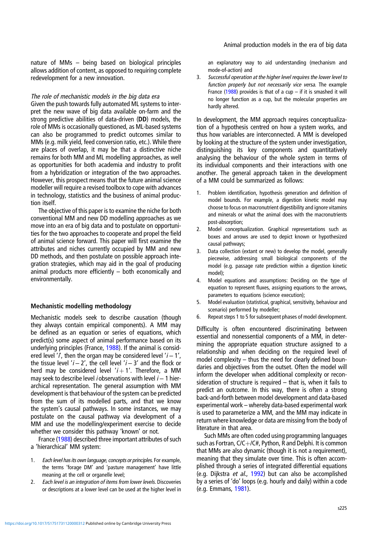nature of MMs – being based on biological principles allows addition of content, as opposed to requiring complete redevelopment for a new innovation.

# The role of mechanistic models in the big data era

Given the push towards fully automated ML systems to interpret the new wave of big data available on-farm and the strong predictive abilities of data-driven (DD) models, the role of MMs is occasionally questioned, as ML-based systems can also be programmed to predict outcomes similar to MMs (e.g. milk yield, feed conversion ratio, etc.). While there are places of overlap, it may be that a distinctive niche remains for both MM and ML modelling approaches, as well as opportunities for both academia and industry to profit from a hybridization or integration of the two approaches. However, this prospect means that the future animal science modeller will require a revised toolbox to cope with advances in technology, statistics and the business of animal production itself.

The objective of this paper is to examine the niche for both conventional MM and new DD modelling approaches as we move into an era of big data and to postulate on opportunities for the two approaches to cooperate and propel the field of animal science forward. This paper will first examine the attributes and niches currently occupied by MM and new DD methods, and then postulate on possible approach integration strategies, which may aid in the goal of producing animal products more efficiently – both economically and environmentally.

# Mechanistic modelling methodology

Mechanistic models seek to describe causation (though they always contain empirical components). A MM may be defined as an equation or series of equations, which predict(s) some aspect of animal performance based on its underlying principles (France, [1988](#page-13-0)). If the animal is considered level '*i*', then the organ may be considered level ' $i - 1'$ , the tissue level ' $i - 2'$ , the cell level ' $i - 3'$  and the flock or herd may be considered level ' $i + 1'$ . Therefore, a MM may seek to describe level *i* observations with level  $i - 1$  hierarchical representation. The general assumption with MM development is that behaviour of the system can be predicted from the sum of its modelled parts, and that we know the system's causal pathways. In some instances, we may postulate on the causal pathway via development of a MM and use the modelling/experiment exercise to decide whether we consider this pathway 'known' or not.

France [\(1988](#page-13-0)) described three important attributes of such a 'hierarchical' MM system:

- 1. Each level has its own language, concepts or principles. For example, the terms 'forage DM' and 'pasture management' have little meaning at the cell or organelle level;
- 2. Each level is an integration of items from lower levels. Discoveries or descriptions at a lower level can be used at the higher level in

an explanatory way to aid understanding (mechanism and mode-of-action) and

3. Successful operation at the higher level requires the lower level to function properly but not necessarily vice versa. The example France [\(1988\)](#page-13-0) provides is that of a cup – if it is smashed it will no longer function as a cup, but the molecular properties are hardly altered.

In development, the MM approach requires conceptualization of a hypothesis centred on how a system works, and thus how variables are interconnected. A MM is developed by looking at the structure of the system under investigation, distinguishing its key components and quantitatively analysing the behaviour of the whole system in terms of its individual components and their interactions with one another. The general approach taken in the development of a MM could be summarized as follows:

- 1. Problem identification, hypothesis generation and definition of model bounds. For example, a digestion kinetic model may choose to focus on macronutrient digestibility and ignore vitamins and minerals or what the animal does with the macronutrients post-absorption;
- 2. Model conceptualization. Graphical representations such as boxes and arrows are used to depict known or hypothesized causal pathways;
- 3. Data collection (extant or new) to develop the model, generally piecewise, addressing small biological components of the model (e.g. passage rate prediction within a digestion kinetic model);
- 4. Model equations and assumptions: Deciding on the type of equation to represent fluxes, assigning equations to the arrows, parameters to equations (science execution);
- 5. Model evaluation (statistical, graphical, sensitivity, behaviour and scenario) performed by modeller;
- 6. Repeat steps 1 to 5 for subsequent phases of model development.

Difficulty is often encountered discriminating between essential and nonessential components of a MM, in determining the appropriate equation structure assigned to a relationship and when deciding on the required level of model complexity – thus the need for clearly defined boundaries and objectives from the outset. Often the model will inform the developer when additional complexity or reconsideration of structure is required – that is, when it fails to predict an outcome. In this way, there is often a strong back-and-forth between model development and data-based experimental work – whereby data-based experimental work is used to parameterize a MM, and the MM may indicate in return where knowledge or data are missing from the body of literature in that area.

Such MMs are often coded using programming languages such as Fortran,  $C/C+ / C#$ , Python, R and Delphi. It is common that MMs are also dynamic (though it is not a requirement), meaning that they simulate over time. This is often accomplished through a series of integrated differential equations (e.g. Dijkstra et al., [1992](#page-13-0)) but can also be accomplished by a series of 'do' loops (e.g. hourly and daily) within a code (e.g. Emmans, [1981\)](#page-13-0).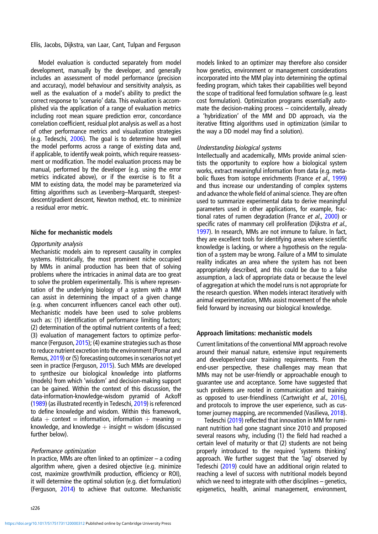Model evaluation is conducted separately from model development, manually by the developer, and generally includes an assessment of model performance (precision and accuracy), model behaviour and sensitivity analysis, as well as the evaluation of a model's ability to predict the correct response to 'scenario' data. This evaluation is accomplished via the application of a range of evaluation metrics including root mean square prediction error, concordance correlation coefficient, residual plot analysis as well as a host of other performance metrics and visualization strategies (e.g. Tedeschi, [2006](#page-14-0)). The goal is to determine how well the model performs across a range of existing data and, if applicable, to identify weak points, which require reassessment or modification. The model evaluation process may be manual, performed by the developer (e.g. using the error metrics indicated above), or if the exercise is to fit a MM to existing data, the model may be parameterized via fitting algorithms such as Levenberg–Marquardt, steepestdescent/gradient descent, Newton method, etc. to minimize a residual error metric.

## Niche for mechanistic models

## Opportunity analysis

Mechanistic models aim to represent causality in complex systems. Historically, the most prominent niche occupied by MMs in animal production has been that of solving problems where the intricacies in animal data are too great to solve the problem experimentally. This is where representation of the underlying biology of a system with a MM can assist in determining the impact of a given change (e.g. when concurrent influencers cancel each other out). Mechanistic models have been used to solve problems such as: (1) identification of performance limiting factors; (2) determination of the optimal nutrient contents of a feed; (3) evaluation of management factors to optimize performance (Ferguson, [2015](#page-13-0)); (4) examine strategies such as those to reduce nutrient excretion into the environment (Pomar and Remus, [2019](#page-14-0)) or (5) forecasting outcomes in scenarios not yet seen in practice (Ferguson, [2015](#page-13-0)). Such MMs are developed to synthesize our biological knowledge into platforms (models) from which 'wisdom' and decision-making support can be gained. Within the context of this discussion, the data-information-knowledge-wisdom pyramid of Ackoff [\(1989](#page-13-0)) (as illustrated recently in Tedeschi, [2019](#page-14-0)) is referenced to define knowledge and wisdom. Within this framework, data + context = information, information + meaning = knowledge, and knowledge  $+$  insight  $=$  wisdom (discussed further below).

## Performance optimization

In practice, MMs are often linked to an optimizer – a coding algorithm where, given a desired objective (e.g. minimize cost, maximize growth/milk production, efficiency or ROI), it will determine the optimal solution (e.g. diet formulation) (Ferguson, [2014\)](#page-13-0) to achieve that outcome. Mechanistic models linked to an optimizer may therefore also consider how genetics, environment or management considerations incorporated into the MM play into determining the optimal feeding program, which takes their capabilities well beyond the scope of traditional feed formulation software (e.g. least cost formulation). Optimization programs essentially automate the decision-making process – coincidentally, already a 'hybridization' of the MM and DD approach, via the iterative fitting algorithms used in optimization (similar to the way a DD model may find a solution).

## Understanding biological systems

Intellectually and academically, MMs provide animal scientists the opportunity to explore how a biological system works, extract meaningful information from data (e.g. meta-bolic fluxes from isotope enrichments (France et al., [1999](#page-13-0)) and thus increase our understanding of complex systems and advance the whole field of animal science. They are often used to summarize experimental data to derive meaningful parameters used in other applications, for example, fractional rates of rumen degradation (France et al., [2000](#page-13-0)) or specific rates of mammary cell proliferation (Dijkstra et al., [1997](#page-13-0)). In research, MMs are not immune to failure. In fact, they are excellent tools for identifying areas where scientific knowledge is lacking, or where a hypothesis on the regulation of a system may be wrong. Failure of a MM to simulate reality indicates an area where the system has not been appropriately described, and this could be due to a false assumption, a lack of appropriate data or because the level of aggregation at which the model runs is not appropriate for the research question. When models interact iteratively with animal experimentation, MMs assist movement of the whole field forward by increasing our biological knowledge.

## Approach limitations: mechanistic models

Current limitations of the conventional MM approach revolve around their manual nature, extensive input requirements and developer/end-user training requirements. From the end-user perspective, these challenges may mean that MMs may not be user-friendly or approachable enough to guarantee use and acceptance. Some have suggested that such problems are rooted in communication and training as opposed to user-friendliness (Cartwright et al., [2016\)](#page-13-0), and protocols to improve the user experience, such as customer journey mapping, are recommended (Vasilieva, [2018\)](#page-14-0).

Tedeschi ([2019](#page-14-0)) reflected that innovation in MM for ruminant nutrition had gone stagnant since 2010 and proposed several reasons why, including (1) the field had reached a certain level of maturity or that (2) students are not being properly introduced to the required 'systems thinking' approach. We further suggest that the 'lag' observed by Tedeschi [\(2019](#page-14-0)) could have an additional origin related to reaching a level of success with nutritional models beyond which we need to integrate with other disciplines – genetics, epigenetics, health, animal management, environment,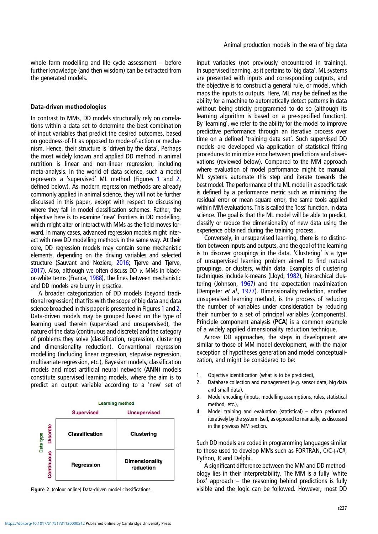whole farm modelling and life cycle assessment – before further knowledge (and then wisdom) can be extracted from the generated models.

# Data-driven methodologies

In contrast to MMs, DD models structurally rely on correlations within a data set to determine the best combination of input variables that predict the desired outcomes, based on goodness-of-fit as opposed to mode-of-action or mechanism. Hence, their structure is 'driven by the data'. Perhaps the most widely known and applied DD method in animal nutrition is linear and non-linear regression, including meta-analysis. In the world of data science, such a model represents a 'supervised' ML method (Figures [1](#page-1-0) and 2, defined below). As modern regression methods are already commonly applied in animal science, they will not be further discussed in this paper, except with respect to discussing where they fall in model classification schemes. Rather, the objective here is to examine 'new' frontiers in DD modelling, which might alter or interact with MMs as the field moves forward. In many cases, advanced regression models might interact with new DD modelling methods in the same way. At their core, DD regression models may contain some mechanistic elements, depending on the driving variables and selected structure (Sauvant and Nozière, [2016](#page-14-0); Tjørve and Tjørve, [2017\)](#page-14-0). Also, although we often discuss DD v. MMs in black-or-white terms (France, [1988\)](#page-13-0), the lines between mechanistic and DD models are blurry in practice.

A broader categorization of DD models (beyond traditional regression) that fits with the scope of big data and data science broached in this paper is presented in Figures [1](#page-1-0) and 2. Data-driven models may be grouped based on the type of learning used therein (supervised and unsupervised), the nature of the data (continuous and discrete) and the category of problems they solve (classification, regression, clustering and dimensionality reduction). Conventional regression modelling (including linear regression, stepwise regression, multivariate regression, etc.), Bayesian models, classification models and most artificial neural network (ANN) models constitute supervised learning models, where the aim is to predict an output variable according to a 'new' set of



input variables (not previously encountered in training). In supervised learning, as it pertains to 'big data', ML systems are presented with inputs and corresponding outputs, and the objective is to construct a general rule, or model, which maps the inputs to outputs. Here, ML may be defined as the ability for a machine to automatically detect patterns in data without being strictly programmed to do so (although its learning algorithm is based on a pre-specified function). By 'learning', we refer to the ability for the model to improve predictive performance through an iterative process over time on a defined 'training data set'. Such supervised DD models are developed via application of statistical fitting procedures to minimize error between predictions and observations (reviewed below). Compared to the MM approach where evaluation of model performance might be manual, ML systems automate this step and iterate towards the best model. The performance of the ML model in a specific task is defined by a performance metric such as minimizing the residual error or mean square error, the same tools applied within MM evaluations. This is called the 'loss' function, in data science. The goal is that the ML model will be able to predict, classify or reduce the dimensionality of new data using the experience obtained during the training process.

Conversely, in unsupervised learning, there is no distinction between inputs and outputs, and the goal of the learning is to discover groupings in the data. 'Clustering' is a type of unsupervised learning problem aimed to find natural groupings, or clusters, within data. Examples of clustering techniques include k-means (Lloyd, [1982](#page-13-0)), hierarchical clustering (Johnson, [1967\)](#page-13-0) and the expectation maximization (Dempster et al., [1977\)](#page-13-0). Dimensionality reduction, another unsupervised learning method, is the process of reducing the number of variables under consideration by reducing their number to a set of principal variables (components). Principle component analysis (PCA) is a common example of a widely applied dimensionality reduction technique.

Across DD approaches, the steps in development are similar to those of MM model development, with the major exception of hypotheses generation and model conceptualization, and might be considered to be:

- 1. Objective identification (what is to be predicted),
- 2. Database collection and management (e.g. sensor data, big data and small data),
- 3. Model encoding (inputs, modelling assumptions, rules, statistical method, etc.),
- 4. Model training and evaluation (statistical) often performed iteratively by the system itself, as opposed to manually, as discussed in the previous MM section.

Such DD models are coded in programming languages similar to those used to develop MMs such as FORTRAN,  $C/C+/C#$ , Python, R and Delphi.

A significant difference between the MM and DD methodology lies in their interpretability. The MM is a fully 'white box' approach – the reasoning behind predictions is fully Figure 2 (colour online) Data-driven model classifications. visible and the logic can be followed. However, most DD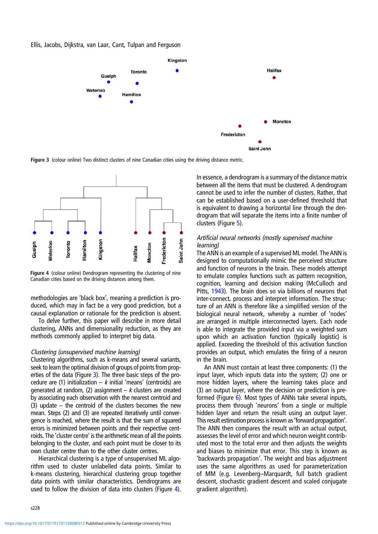

Figure 3 (colour online) Two distinct clusters of nine Canadian cities using the driving distance metric.



Figure 4 (colour online) Dendrogram representing the clustering of nine Canadian cities based on the driving distances among them.

methodologies are 'black box', meaning a prediction is produced, which may in fact be a very good prediction, but a causal explanation or rationale for the prediction is absent.

To delve further, this paper will describe in more detail clustering, ANNs and dimensionality reduction, as they are methods commonly applied to interpret big data.

#### Clustering (unsupervised machine learning)

Clustering algorithms, such as k-means and several variants, seek to learn the optimal division of groups of points from properties of the data (Figure 3). The three basic steps of the procedure are (1) initialization –  $k$  initial 'means' (centroids) are generated at random, (2) assignment  $-k$  clusters are created by associating each observation with the nearest centroid and (3) update – the centroid of the clusters becomes the new mean. Steps (2) and (3) are repeated iteratively until convergence is reached, where the result is that the sum of squared errors is minimized between points and their respective centroids. The 'cluster centre' is the arithmetic mean of all the points belonging to the cluster, and each point must be closer to its own cluster centre than to the other cluster centres.

Hierarchical clustering is a type of unsupervised ML algorithm used to cluster unlabelled data points. Similar to k-means clustering, hierarchical clustering group together data points with similar characteristics. Dendrograms are used to follow the division of data into clusters (Figure 4).

In essence, a dendrogram is a summary of the distance matrix between all the items that must be clustered. A dendrogram cannot be used to infer the number of clusters. Rather, that can be established based on a user-defined threshold that is equivalent to drawing a horizontal line through the dendrogram that will separate the items into a finite number of clusters (Figure [5](#page-6-0)).

# Artificial neural networks (mostly supervised machine learning)

The ANN is an example of a supervised ML model. The ANN is designed to computationally mimic the perceived structure and function of neurons in the brain. These models attempt to emulate complex functions such as pattern recognition, cognition, learning and decision making (McCulloch and Pitts, [1943](#page-13-0)). The brain does so via billions of neurons that inter-connect, process and interpret information. The structure of an ANN is therefore like a simplified version of the biological neural network, whereby a number of 'nodes' are arranged in multiple interconnected layers. Each node is able to integrate the provided input via a weighted sum upon which an activation function (typically logistic) is applied. Exceeding the threshold of this activation function provides an output, which emulates the firing of a neuron in the brain.

An ANN must contain at least three components: (1) the input layer, which inputs data into the system; (2) one or more hidden layers, where the learning takes place and (3) an output layer, where the decision or prediction is preformed (Figure [6\)](#page-6-0). Most types of ANNs take several inputs, process them through 'neurons' from a single or multiple hidden layer and return the result using an output layer. This result estimation process is known as'forward propagation'. The ANN then compares the result with an actual output, assesses the level of error and which neuron weight contributed most to the total error and then adjusts the weights and biases to minimize that error. This step is known as 'backwards propagation'. The weight and bias adjustment uses the same algorithms as used for parameterization of MM (e.g. Levenberg–Marquardt, full batch gradient descent, stochastic gradient descent and scaled conjugate gradient algorithm).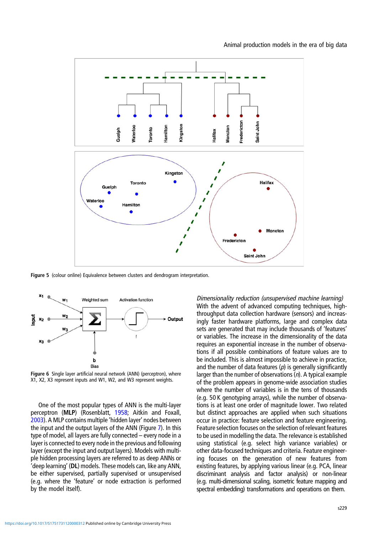<span id="page-6-0"></span>

Figure 5 (colour online) Equivalence between clusters and dendrogram interpretation.



Figure 6 Single layer artificial neural network (ANN) (perceptron), where X1, X2, X3 represent inputs and W1, W2, and W3 represent weights.

One of the most popular types of ANN is the multi-layer perceptron (MLP) (Rosenblatt, [1958;](#page-14-0) Aitkin and Foxall, [2003\)](#page-13-0). A MLP contains multiple 'hidden layer' nodes between the input and the output layers of the ANN (Figure [7\)](#page-7-0). In this type of model, all layers are fully connected – every node in a layer is connected to every node in the previous and following layer (except the input and output layers). Models with multiple hidden processing layers are referred to as deep ANNs or 'deep learning' (DL) models. These models can, like any ANN, be either supervised, partially supervised or unsupervised (e.g. where the 'feature' or node extraction is performed by the model itself).

Dimensionality reduction (unsupervised machine learning) With the advent of advanced computing techniques, highthroughput data collection hardware (sensors) and increasingly faster hardware platforms, large and complex data sets are generated that may include thousands of 'features' or variables. The increase in the dimensionality of the data requires an exponential increase in the number of observations if all possible combinations of feature values are to be included. This is almost impossible to achieve in practice, and the number of data features  $(p)$  is generally significantly larger than the number of observations  $(n)$ . A typical example of the problem appears in genome-wide association studies where the number of variables is in the tens of thousands (e.g. 50 K genotyping arrays), while the number of observations is at least one order of magnitude lower. Two related but distinct approaches are applied when such situations occur in practice: feature selection and feature engineering. Feature selection focuses on the selection of relevant features to be used in modelling the data. The relevance is established using statistical (e.g. select high variance variables) or other data-focused techniques and criteria. Feature engineering focuses on the generation of new features from existing features, by applying various linear (e.g. PCA, linear discriminant analysis and factor analysis) or non-linear (e.g. multi-dimensional scaling, isometric feature mapping and spectral embedding) transformations and operations on them.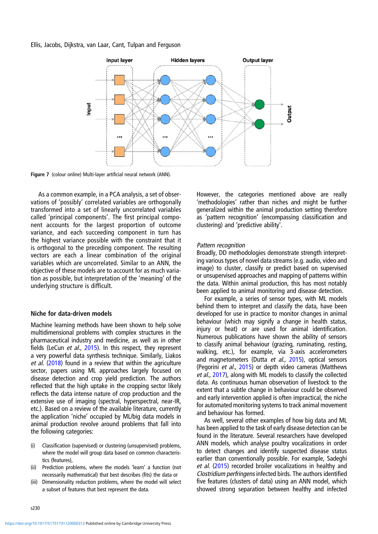<span id="page-7-0"></span>

Figure 7 (colour online) Multi-layer artificial neural network (ANN).

As a common example, in a PCA analysis, a set of observations of 'possibly' correlated variables are orthogonally transformed into a set of linearly uncorrelated variables called 'principal components'. The first principal component accounts for the largest proportion of outcome variance, and each succeeding component in turn has the highest variance possible with the constraint that it is orthogonal to the preceding component. The resulting vectors are each a linear combination of the original variables which are uncorrelated. Similar to an ANN, the objective of these models are to account for as much variation as possible, but interpretation of the 'meaning' of the underlying structure is difficult.

# Niche for data-driven models

Machine learning methods have been shown to help solve multidimensional problems with complex structures in the pharmaceutical industry and medicine, as well as in other fields (LeCun et al., [2015](#page-13-0)). In this respect, they represent a very powerful data synthesis technique. Similarly, Liakos et al. [\(2018](#page-13-0)) found in a review that within the agriculture sector, papers using ML approaches largely focused on disease detection and crop yield prediction. The authors reflected that the high uptake in the cropping sector likely reflects the data intense nature of crop production and the extensive use of imaging (spectral, hyperspectral, near-IR, etc.). Based on a review of the available literature, currently the application 'niche' occupied by ML/big data models in animal production revolve around problems that fall into the following categories:

- (i) Classification (supervised) or clustering (unsupervised) problems, where the model will group data based on common characteristics (features),
- (ii) Prediction problems, where the models 'learn' a function (not necessarily mathematical) that best describes (fits) the data or
- (iii) Dimensionality reduction problems, where the model will select a subset of features that best represent the data.

However, the categories mentioned above are really 'methodologies' rather than niches and might be further generalized within the animal production setting therefore as 'pattern recognition' (encompassing classification and clustering) and 'predictive ability'.

## Pattern recognition

Broadly, DD methodologies demonstrate strength interpreting various types of novel data streams (e.g. audio, video and image) to cluster, classify or predict based on supervised or unsupervised approaches and mapping of patterns within the data. Within animal production, this has most notably been applied to animal monitoring and disease detection.

For example, a series of sensor types, with ML models behind them to interpret and classify the data, have been developed for use in practice to monitor changes in animal behaviour (which may signify a change in health status, injury or heat) or are used for animal identification. Numerous publications have shown the ability of sensors to classify animal behaviour (grazing, ruminating, resting, walking, etc.), for example, via 3-axis accelerometers and magnetometers (Dutta et al., [2015\)](#page-13-0), optical sensors (Pegorini et al., [2015\)](#page-14-0) or depth video cameras (Matthews et al., [2017](#page-13-0)), along with ML models to classify the collected data. As continuous human observation of livestock to the extent that a subtle change in behaviour could be observed and early intervention applied is often impractical, the niche for automated monitoring systems to track animal movement and behaviour has formed.

As well, several other examples of how big data and ML has been applied to the task of early disease detection can be found in the literature. Several researchers have developed ANN models, which analyse poultry vocalizations in order to detect changes and identify suspected disease status earlier than conventionally possible. For example, Sadeghi et al. [\(2015](#page-14-0)) recorded broiler vocalizations in healthy and Clostridium perfringens infected birds. The authors identified five features (clusters of data) using an ANN model, which showed strong separation between healthy and infected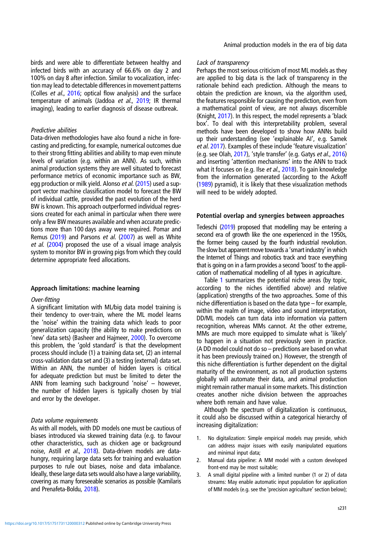birds and were able to differentiate between healthy and infected birds with an accuracy of 66.6% on day 2 and 100% on day 8 after infection. Similar to vocalization, infection may lead to detectable differences in movement patterns (Colles et al., [2016](#page-13-0); optical flow analysis) and the surface temperature of animals (Jaddoa et al., [2019](#page-13-0); IR thermal imaging), leading to earlier diagnosis of disease outbreak.

# Predictive abilities

Data-driven methodologies have also found a niche in forecasting and predicting, for example, numerical outcomes due to their strong fitting abilities and ability to map even minute levels of variation (e.g. within an ANN). As such, within animal production systems they are well situated to forecast performance metrics of economic importance such as BW, egg production or milk yield. Alonso et al. ([2015](#page-13-0)) used a support vector machine classification model to forecast the BW of individual cattle, provided the past evolution of the herd BW is known. This approach outperformed individual regressions created for each animal in particular when there were only a few BW measures available and when accurate predictions more than 100 days away were required. Pomar and Remus ([2019\)](#page-14-0) and Parsons et al. ([2007\)](#page-13-0) as well as White et al. ([2004\)](#page-14-0) proposed the use of a visual image analysis system to monitor BW in growing pigs from which they could determine appropriate feed allocations.

# Approach limitations: machine learning

#### Over-fitting

A significant limitation with ML/big data model training is their tendency to over-train, where the ML model learns the 'noise' within the training data which leads to poor generalization capacity (the ability to make predictions on 'new' data sets) (Basheer and Hajmeer, [2000\)](#page-13-0). To overcome this problem, the 'gold standard' is that the development process should include (1) a training data set, (2) an internal cross-validation data set and (3) a testing (external) data set. Within an ANN, the number of hidden layers is critical for adequate prediction but must be limited to deter the ANN from learning such background 'noise' – however, the number of hidden layers is typically chosen by trial and error by the developer.

## Data volume requirements

As with all models, with DD models one must be cautious of biases introduced via skewed training data (e.g. to favour other characteristics, such as chicken age or background noise, Astill et al., [2018\)](#page-13-0). Data-driven models are datahungry, requiring large data sets for training and evaluation purposes to rule out biases, noise and data imbalance. Ideally, these large data sets would also have a large variability, covering as many foreseeable scenarios as possible (Kamilaris and Prenafeta-Boldu, [2018](#page-13-0)).

# Lack of transparency

Perhaps the most serious criticism of most ML models as they are applied to big data is the lack of transparency in the rationale behind each prediction. Although the means to obtain the prediction are known, via the algorithm used, the features responsible for causing the prediction, even from a mathematical point of view, are not always discernible (Knight, [2017\)](#page-13-0). In this respect, the model represents a 'black box'. To deal with this interpretability problem, several methods have been developed to show how ANNs build up their understanding (see 'explainable AI', e.g. Samek et al. [2017\)](#page-14-0). Examples of these include 'feature visualization' (e.g. see Olah, [2017\)](#page-13-0), 'style transfer' (e.g. Gatys et al., [2016](#page-13-0)) and inserting 'attention mechanisms' into the ANN to track what it focuses on (e.g. Ilse et al., [2018](#page-13-0)). To gain knowledge from the information generated (according to the Ackoff ([1989\)](#page-13-0) pyramid), it is likely that these visualization methods will need to be widely adopted.

## Potential overlap and synergies between approaches

Tedeschi [\(2019](#page-14-0)) proposed that modelling may be entering a second era of growth like the one experienced in the 1950s, the former being caused by the fourth industrial revolution. The slow but apparent move towards a 'smart industry' in which the Internet of Things and robotics track and trace everything that is going on in a farm provides a second 'boost' to the application of mathematical modelling of all types in agriculture.

Table [1](#page-9-0) summarizes the potential niche areas (by topic, according to the niches identified above) and relative (application) strengths of the two approaches. Some of this niche differentiation is based on the data type – for example, within the realm of image, video and sound interpretation, DD/ML models can turn data into information via pattern recognition, whereas MMs cannot. At the other extreme, MMs are much more equipped to simulate what is 'likely' to happen in a situation not previously seen in practice. (A DD model could not do so – predictions are based on what it has been previously trained on.) However, the strength of this niche differentiation is further dependent on the digital maturity of the environment, as not all production systems globally will automate their data, and animal production might remain rather manual in some markets. This distinction creates another niche division between the approaches where both remain and have value.

Although the spectrum of digitalization is continuous, it could also be discussed within a categorical hierarchy of increasing digitalization:

- 1. No digitalization: Simple empirical models may preside, which can address major issues with easily manipulated equations and minimal input data;
- 2. Manual data pipeline: A MM model with a custom developed front-end may be most suitable;
- 3. A small digital pipeline with a limited number (1 or 2) of data streams: May enable automatic input population for application of MM models (e.g. see the 'precision agriculture' section below);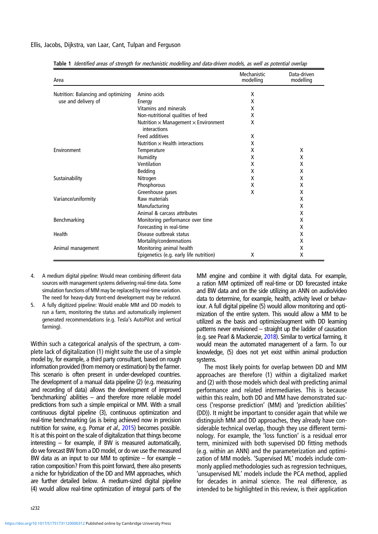| Area                                                       |                                                                    | Mechanistic<br>modelling | Data-driven<br>modelling |
|------------------------------------------------------------|--------------------------------------------------------------------|--------------------------|--------------------------|
| Nutrition: Balancing and optimizing<br>use and delivery of | Amino acids                                                        | X                        |                          |
|                                                            | Energy                                                             | X                        |                          |
|                                                            | Vitamins and minerals                                              | X                        |                          |
|                                                            | Non-nutritional qualities of feed                                  | X                        |                          |
|                                                            | Nutrition $\times$ Management $\times$ Environment<br>interactions | X                        |                          |
|                                                            | <b>Feed additives</b>                                              | X                        |                          |
|                                                            | Nutrition $\times$ Health interactions                             | X                        |                          |
| Environment                                                | Temperature                                                        | x                        | X                        |
|                                                            | Humidity                                                           | X                        | X                        |
|                                                            | Ventilation                                                        | X                        | X                        |
|                                                            | Bedding                                                            | X                        | X                        |
| Sustainability                                             | Nitrogen                                                           | X                        | X                        |
|                                                            | Phosphorous                                                        | X                        | X                        |
|                                                            | Greenhouse gases                                                   | X                        | X                        |
| Variance/uniformity                                        | Raw materials                                                      |                          | X                        |
|                                                            | Manufacturing                                                      |                          | X                        |
|                                                            | Animal & carcass attributes                                        |                          | X                        |
| Benchmarking                                               | Monitoring performance over time                                   |                          | Χ                        |
|                                                            | Forecasting in real-time                                           |                          | X                        |
| Health                                                     | Disease outbreak status                                            |                          | X                        |
|                                                            | Mortality/condemnations                                            |                          | X                        |
| Animal management                                          | Monitoring animal health                                           |                          | X                        |
|                                                            | Epigenetics (e.g. early life nutrition)                            | X                        | x                        |

<span id="page-9-0"></span>Table 1 Identified areas of strength for mechanistic modelling and data-driven models, as well as potential overlap

- 4. A medium digital pipeline: Would mean combining different data sources with management systems delivering real-time data. Some simulation functions of MM may be replaced by real-time variation. The need for heavy-duty front-end development may be reduced.
- 5. A fully digitized pipeline: Would enable MM and DD models to run a farm, monitoring the status and automatically implement generated recommendations (e.g. Tesla's AutoPilot and vertical farming).

Within such a categorical analysis of the spectrum, a complete lack of digitalization (1) might suite the use of a simple model by, for example, a third party consultant, based on rough information provided (from memory or estimation) by the farmer. This scenario is often present in under-developed countries. The development of a manual data pipeline (2) (e.g. measuring and recording of data) allows the development of improved 'benchmarking' abilities – and therefore more reliable model predictions from such a simple empirical or MM. With a small continuous digital pipeline (3), continuous optimization and real-time benchmarking (as is being achieved now in precision nutrition for swine, e.g. Pomar et al., [2015](#page-14-0)) becomes possible. It is at this point on the scale of digitalization that things become interesting – for example, if BW is measured automatically, do we forecast BW from a DD model, or do we use the measured BW data as an input to our MM to optimize – for example – ration composition? From this point forward, there also presents a niche for hybridization of the DD and MM approaches, which are further detailed below. A medium-sized digital pipeline (4) would allow real-time optimization of integral parts of the

s232

MM engine and combine it with digital data. For example, a ration MM optimized off real-time or DD forecasted intake and BW data and on the side utilizing an ANN on audio/video data to determine, for example, health, activity level or behaviour. A full digital pipeline (5) would allow monitoring and optimization of the entire system. This would allow a MM to be utilized as the basis and optimize/augment with DD learning patterns never envisioned – straight up the ladder of causation (e.g. see Pearl & Mackenzie, [2018](#page-13-0)). Similar to vertical farming, it would mean the automated management of a farm. To our knowledge, (5) does not yet exist within animal production systems.

The most likely points for overlap between DD and MM approaches are therefore (1) within a digitalized market and (2) with those models which deal with predicting animal performance and related intermediaries. This is because within this realm, both DD and MM have demonstrated success ('response prediction' (MM) and 'prediction abilities' (DD)). It might be important to consider again that while we distinguish MM and DD approaches, they already have considerable technical overlap, though they use different terminology. For example, the 'loss function' is a residual error term, minimized with both supervised DD fitting methods (e.g. within an ANN) and the parameterization and optimization of MM models. 'Supervised ML' models include commonly applied methodologies such as regression techniques, 'unsupervised ML' models include the PCA method, applied for decades in animal science. The real difference, as intended to be highlighted in this review, is their application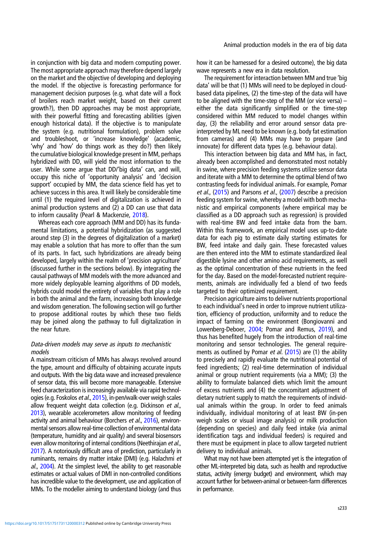in conjunction with big data and modern computing power. The most appropriate approach may therefore depend largely on the market and the objective of developing and deploying the model. If the objective is forecasting performance for management decision purposes (e.g. what date will a flock of broilers reach market weight, based on their current growth?), then DD approaches may be most appropriate, with their powerful fitting and forecasting abilities (given enough historical data). If the objective is to manipulate the system (e.g. nutritional formulation), problem solve and troubleshoot, or 'increase knowledge' (academic, 'why' and 'how' do things work as they do?) then likely the cumulative biological knowledge present in MM, perhaps hybridized with DD, will yield the most information to the user. While some argue that DD/'big data' can, and will, occupy this niche of 'opportunity analysis' and 'decision support' occupied by MM, the data science field has yet to achieve success in this area. It will likely be considerable time until (1) the required level of digitalization is achieved in animal production systems and (2) a DD can use that data to inform causality (Pearl & Mackenzie, [2018](#page-13-0)).

Whereas each core approach (MM and DD) has its fundamental limitations, a potential hybridization (as suggested around step (3) in the degrees of digitalization of a market) may enable a solution that has more to offer than the sum of its parts. In fact, such hybridizations are already being developed, largely within the realm of 'precision agriculture' (discussed further in the sections below). By integrating the causal pathways of MM models with the more advanced and more widely deployable learning algorithms of DD models, hybrids could model the entirety of variables that play a role in both the animal and the farm, increasing both knowledge and wisdom generation. The following section will go further to propose additional routes by which these two fields may be joined along the pathway to full digitalization in the near future.

# Data-driven models may serve as inputs to mechanistic models

A mainstream criticism of MMs has always revolved around the type, amount and difficulty of obtaining accurate inputs and outputs. With the big data wave and increased prevalence of sensor data, this will become more manageable. Extensive feed characterization is increasingly available via rapid technologies (e.g. Foskolos et al., [2015](#page-13-0)), in-pen/walk-over weigh scales allow frequent weight data collection (e.g. Dickinson et al., [2013\)](#page-13-0), wearable accelerometers allow monitoring of feeding activity and animal behaviour (Borchers et al., [2016](#page-13-0)), environmental sensors allow real-time collection of environmental data (temperature, humidity and air quality) and several biosensors even allow monitoring of internal conditions (Neethirajan et al., [2017\)](#page-13-0). A notoriously difficult area of prediction, particularly in ruminants, remains dry matter intake (DMI) (e.g. Halachmi et al., [2004\)](#page-13-0). At the simplest level, the ability to get reasonable estimates or actual values of DMI in non-controlled conditions has incredible value to the development, use and application of MMs. To the modeller aiming to understand biology (and thus

how it can be harnessed for a desired outcome), the big data wave represents a new era in data resolution.

The requirement for interaction between MM and true 'big data' will be that (1) MMs will need to be deployed in cloudbased data pipelines, (2) the time-step of the data will have to be aligned with the time-step of the MM (or vice versa) – either the data significantly simplified or the time-step considered within MM reduced to model changes within day, (3) the reliability and error around sensor data preinterpreted by ML need to be known (e.g. body fat estimation from cameras) and (4) MMs may have to prepare (and innovate) for different data types (e.g. behaviour data).

This interaction between big data and MM has, in fact, already been accomplished and demonstrated most notably in swine, where precision feeding systems utilize sensor data and iterate with a MM to determine the optimal blend of two contrasting feeds for individual animals. For example, Pomar et al., [\(2015](#page-14-0)) and Parsons et al., [\(2007](#page-13-0)) describe a precision feeding system for swine, whereby a model with both mechanistic and empirical components (where empirical may be classified as a DD approach such as regression) is provided with real-time BW and feed intake data from the barn. Within this framework, an empirical model uses up-to-date data for each pig to estimate daily starting estimates for BW, feed intake and daily gain. These forecasted values are then entered into the MM to estimate standardized ileal digestible lysine and other amino acid requirements, as well as the optimal concentration of these nutrients in the feed for the day. Based on the model-forecasted nutrient requirements, animals are individually fed a blend of two feeds targeted to their optimized requirement.

Precision agriculture aims to deliver nutrients proportional to each individual's need in order to improve nutrient utilization, efficiency of production, uniformity and to reduce the impact of farming on the environment (Bongiovanni and Lowenberg-Deboer, [2004](#page-13-0); Pomar and Remus, [2019](#page-14-0)), and thus has benefited hugely from the introduction of real-time monitoring and sensor technologies. The general require-ments as outlined by Pomar et al. ([2015\)](#page-14-0) are (1) the ability to precisely and rapidly evaluate the nutritional potential of feed ingredients; (2) real-time determination of individual animal or group nutrient requirements (via a MM); (3) the ability to formulate balanced diets which limit the amount of excess nutrients and (4) the concomitant adjustment of dietary nutrient supply to match the requirements of individual animals within the group. In order to feed animals individually, individual monitoring of at least BW (in-pen weigh scales or visual image analysis) or milk production (depending on species) and daily feed intake (via animal identification tags and individual feeders) is required and there must be equipment in place to allow targeted nutrient delivery to individual animals.

What may not have been attempted yet is the integration of other ML-interpreted big data, such as health and reproductive status, activity (energy budget) and environment, which may account further for between-animal or between-farm differences in performance.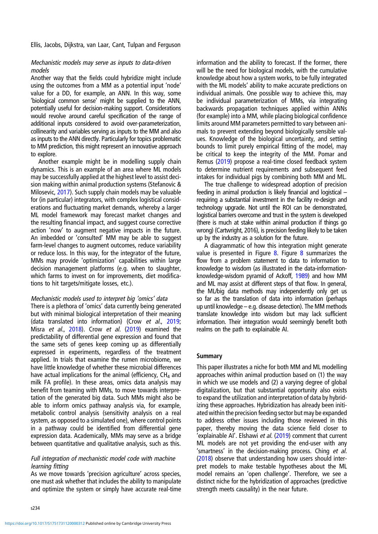# Mechanistic models may serve as inputs to data-driven models

Another way that the fields could hybridize might include using the outcomes from a MM as a potential input 'node' value for a DD, for example, an ANN. In this way, some 'biological common sense' might be supplied to the ANN, potentially useful for decision-making support. Considerations would revolve around careful specification of the range of additional inputs considered to avoid over-parameterization, collinearity and variables serving as inputs to the MM and also as inputs to the ANN directly. Particularly for topics problematic to MM prediction, this might represent an innovative approach to explore.

Another example might be in modelling supply chain dynamics. This is an example of an area where ML models may be successfully applied at the highest level to assist decision making within animal production systems (Stefanovic & Milosevic, [2017](#page-14-0)). Such supply chain models may be valuable for (in particular) integrators, with complex logistical considerations and fluctuating market demands, whereby a larger ML model framework may forecast market changes and the resulting financial impact, and suggest course corrective action 'now' to augment negative impacts in the future. An imbedded or 'consulted' MM may be able to suggest farm-level changes to augment outcomes, reduce variability or reduce loss. In this way, for the integrator of the future, MMs may provide 'optimization' capabilities within large decision management platforms (e.g. when to slaughter, which farms to invest on for improvements, diet modifications to hit targets/mitigate losses, etc.).

# Mechanistic models used to interpret big 'omics' data

There is a plethora of 'omics' data currently being generated but with minimal biological interpretation of their meaning (data translated into information) (Crow et al., [2019](#page-13-0); Misra et al., [2018\)](#page-13-0). Crow et al. [\(2019\)](#page-13-0) examined the predictability of differential gene expression and found that the same sets of genes keep coming up as differentially expressed in experiments, regardless of the treatment applied. In trials that examine the rumen microbiome, we have little knowledge of whether these microbial differences have actual implications for the animal (efficiency,  $CH<sub>4</sub>$  and milk FA profile). In these areas, omics data analysis may benefit from teaming with MMs, to move towards interpretation of the generated big data. Such MMs might also be able to inform omics pathway analysis via, for example, metabolic control analysis (sensitivity analysis on a real system, as opposed to a simulated one), where control points in a pathway could be identified from differential gene expression data. Academically, MMs may serve as a bridge between quantitative and qualitative analysis, such as this.

# Full integration of mechanistic model code with machine learning fitting

As we move towards 'precision agriculture' across species, one must ask whether that includes the ability to manipulate and optimize the system or simply have accurate real-time

s234

<https://doi.org/10.1017/S1751731120000312>Published online by Cambridge University Press

information and the ability to forecast. If the former, there will be the need for biological models, with the cumulative knowledge about how a system works, to be fully integrated with the ML models' ability to make accurate predictions on individual animals. One possible way to achieve this, may be individual parameterization of MMs, via integrating backwards propagation techniques applied within ANNs (for example) into a MM, while placing biological confidence limits around MM parameters permitted to vary between animals to prevent extending beyond biologically sensible values. Knowledge of the biological uncertainty, and setting bounds to limit purely empirical fitting of the model, may be critical to keep the integrity of the MM. Pomar and Remus ([2019\)](#page-14-0) propose a real-time closed feedback system to determine nutrient requirements and subsequent feed intakes for individual pigs by combining both MM and ML.

The true challenge to widespread adoption of precision feeding in animal production is likely financial and logistical – requiring a substantial investment in the facility re-design and technology upgrade. Not until the ROI can be demonstrated, logistical barriers overcome and trust in the system is developed (there is much at stake within animal production if things go wrong) (Cartwright, 2016), is precision feeding likely to be taken up by the industry as a solution for the future.

A diagrammatic of how this integration might generate value is presented in Figure  $8$ . Figure  $8$  summarizes the flow from a problem statement to data to information to knowledge to wisdom (as illustrated in the data-informationknowledge-wisdom pyramid of Ackoff, [1989](#page-13-0)) and how MM and ML may assist at different steps of that flow. In general, the ML/big data methods may independently only get us so far as the translation of data into information (perhaps up until knowledge – e.g. disease detection). The MM methods translate knowledge into wisdom but may lack sufficient information. Their integration would seemingly benefit both realms on the path to explainable AI.

# Summary

This paper illustrates a niche for both MM and ML modelling approaches within animal production based on (1) the way in which we use models and (2) a varying degree of global digitalization, but that substantial opportunity also exists to expand the utilization and interpretation of data by hybridizing these approaches. Hybridization has already been initiated within the precision feeding sector but may be expanded to address other issues including those reviewed in this paper, thereby moving the data science field closer to 'explainable AI'. Elshawi et al. [\(2019](#page-13-0)) comment that current ML models are not yet providing the end-user with any 'smartness' in the decision-making process. Ching et al. ([2018\)](#page-13-0) observe that understanding how users should interpret models to make testable hypotheses about the ML model remains an 'open challenge'. Therefore, we see a distinct niche for the hybridization of approaches (predictive strength meets causality) in the near future.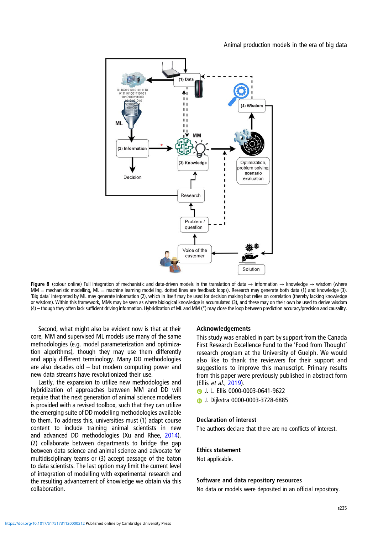

<span id="page-12-0"></span>

Figure 8 (colour online) Full integration of mechanistic and data-driven models in the translation of data → information → knowledge → wisdom (where  $MM =$  mechanistic modelling,  $ML =$  machine learning modelling, dotted lines are feedback loops). Research may generate both data (1) and knowledge (3). 'Big data' interpreted by ML may generate information (2), which in itself may be used for decision making but relies on correlation (thereby lacking knowledge or wisdom). Within this framework, MMs may be seen as where biological knowledge is accumulated (3), and these may on their own be used to derive wisdom (4) – though they often lack sufficient driving information. Hybridization of ML and MM (\*) may close the loop between prediction accuracy/precision and causality.

Second, what might also be evident now is that at their core, MM and supervised ML models use many of the same methodologies (e.g. model parameterization and optimization algorithms), though they may use them differently and apply different terminology. Many DD methodologies are also decades old – but modern computing power and new data streams have revolutionized their use.

Lastly, the expansion to utilize new methodologies and hybridization of approaches between MM and DD will require that the next generation of animal science modellers is provided with a revised toolbox, such that they can utilize the emerging suite of DD modelling methodologies available to them. To address this, universities must (1) adapt course content to include training animal scientists in new and advanced DD methodologies (Xu and Rhee, [2014](#page-14-0)), (2) collaborate between departments to bridge the gap between data science and animal science and advocate for multidisciplinary teams or (3) accept passage of the baton to data scientists. The last option may limit the current level of integration of modelling with experimental research and the resulting advancement of knowledge we obtain via this collaboration.

## Acknowledgements

This study was enabled in part by support from the Canada First Research Excellence Fund to the 'Food from Thought' research program at the University of Guelph. We would also like to thank the reviewers for their support and suggestions to improve this manuscript. Primary results from this paper were previously published in abstract form (Ellis et al., [2019](#page-13-0)).

- **D** J. L. Ellis 0000-0003-0641-9622
- J. Dijkstra 0000-0003-3728-6885

# Declaration of interest

The authors declare that there are no conflicts of interest.

#### Ethics statement

Not applicable.

#### Software and data repository resources

No data or models were deposited in an official repository.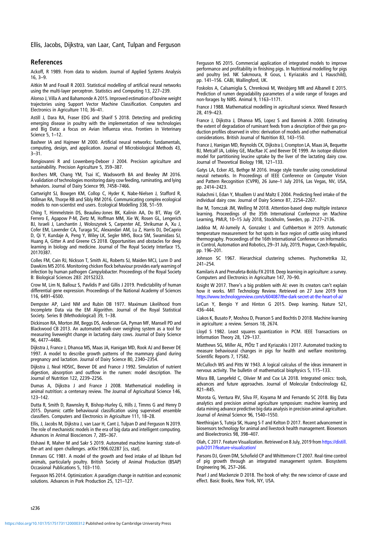# <span id="page-13-0"></span>References

Ackoff, R 1989. From data to wisdom. Journal of Applied Systems Analysis 16, 3–9.

Aitkin M and Foxall R 2003. Statistical modelling of artificial neural networks using the multi-layer perceptron. Statistics and Computing 13, 227–239.

Alonso J, Villa A and Bahamonde A 2015. Improved estimation of bovine weight trajectories using Support Vector Machine Classification. Computers and Electronics in Agriculture 110, 36–41.

Astill J, Dara RA, Fraser EDG and Sharif S 2018. Detecting and predicting emerging disease in poultry with the implementation of new technologies and Big Data: a focus on Avian Influenza virus. Frontiers in Veterinary Science 5, 1–12.

Basheer IA and Hajmeer M 2000. Artificial neural networks: fundamentals, computing, design, and application. Journal of Microbiological Methods 43, 3–31.

Bongiovanni R and Lowenberg-Deboer J 2004. Precision agriculture and sustainability. Precision Agriculture 5, 359–387.

Borchers MR, Chang YM, Tsai IC, Wadsworth BA and Bewley JM 2016. A validation of technologies monitoring dairy cow feeding, ruminating, and lying behaviors. Journal of Dairy Science 99, 7458–7466.

Cartwright SJ, Bowgen KM, Collop C, Hyder K, Nabe-Nielsen J, Stafford R, Stillman RA, Thorpe RB and Sibly RM 2016. Communicating complex ecological models to non-scientist end users. Ecological Modelling 338, 51–59.

Ching T, Himmelstein DS, Beaulieu-Jones BK, Kalinin AA, Do BT, Way GP, Ferrero E, Agapow P-M, Zietz M, Hoffman MM, Xie W, Rosen GL, Lengerich BJ, Israeli J, Lanchantin J, Woloszynek S, Carpenter AE, Shrikumar A, Xu J, Cofer EM, Lavender CA, Turaga SC, Alexandari AM, Lu Z, Harris DJ, DeCaprio D, Qi Y, Kundaje A, Peng Y, Wiley LK, Segler MHS, Boca SM, Swamidass SJ, Huang A, Gitter A and Greene CS 2018. Opportunities and obstacles for deep learning in biology and medicine. Journal of The Royal Society Interface 15, 20170387.

Colles FM, Cain RJ, Nickson T, Smith AL, Roberts SJ, Maiden MCJ, Lunn D and Dawkins MS 2016. Monitoring chicken flock behaviour provides early warning of infection by human pathogen Campylobacter. Proceedings of the Royal Society B: Biological Sciences 283: 20152323.

Crow M, Lim N, Ballouz S, Pavlidis P and Gillis J 2019. Predictability of human differential gene expression. Proceedings of the National Academy of Sciences 116, 6491–6500.

Dempster AP, Laird NM and Rubin DB 1977. Maximum Likelihood from Incomplete Data via the EM Algorithm. Journal of the Royal Statistical Society. Series B (Methodological) 39, 1–38.

Dickinson RA, Morton JM, Beggs DS, Anderson GA, Pyman MF, Mansell PD and Blackwood CB 2013. An automated walk-over weighing system as a tool for measuring liveweight change in lactating dairy cows. Journal of Dairy Science 96, 4477–4486.

Dijkstra J, France J, Dhanoa MS, Maas JA, Hanigan MD, Rook AJ and Beever DE 1997. A model to describe growth patterns of the mammary gland during pregnancy and lactation. Journal of Dairy Science 80, 2340–2354.

Dijkstra J, Neal HDStC, Beever DE and France J 1992. Simulation of nutrient digestion, absorption and outflow in the rumen: model description. The Journal of Nutrition 122, 2239–2256.

Dumas A, Dijkstra J and France J 2008. Mathematical modelling in animal nutrition: a centenary review. The Journal of Agricultural Science 146, 123–142.

Dutta R, Smith D, Rawnsley R, Bishop-Hurley G, Hills J, Timms G and Henry D 2015. Dynamic cattle behavioural classification using supervised ensemble classifiers. Computers and Electronics in Agriculture 111, 18–28.

Ellis, J, Jacobs M, Dijkstra J, van Laar H, Cant J, Tulpan D and Ferguson N 2019. The role of mechanistic models in the era of big data and intelligent computing. Advances in Animal Biosciences 7, 285–367.

Elshawi R, Maher M and Sakr S 2019. Automated machine learning: state-ofthe-art and open challenges. arXiv:1906.02287 [cs, stat].

Emmans GC 1981. A model of the growth and feed intake of ad libitum fed animals, particularly poultry. British Society of Animal Production (BSAP) Occasional Publications 5, 103–110.

Ferguson NS 2014. Optimization: A paradigm change in nutrition and economic solutions. Advances in Pork Production 25, 121–127.

Ferguson NS 2015. Commercial application of integrated models to improve performance and profitability in finishing pigs. In Nutritional modelling for pigs and poultry (ed. NK Sakmoura, R Gous, L Kyriazakis and L Hauschild), pp. 141–156. CABI, Wallingford, UK.

Foskolos A, Calsamiglia S, Chrenková M, Weisbjerg MR and Albanell E 2015. Prediction of rumen degradability parameters of a wide range of forages and non-forages by NIRS. Animal 9, 1163–1171.

France J 1988. Mathematical modelling in agricultural science. Weed Research 28, 419–423.

France J, Dijkstra J, Dhanoa MS, Lopez S and Bannink A 2000. Estimating the extent of degradation of ruminant feeds from a description of their gas production profiles observed in vitro: derivation of models and other mathematical considerations. British Journal of Nutrition 83, 143–150.

France J, Hanigan MD, Reynolds CK, Dijkstra J, Crompton LA, Maas JA, Bequette BJ, Metcalf JA, Lobley GE, MacRae JC and Beever DE 1999. An isotope dilution model for partitioning leucine uptake by the liver of the lactating dairy cow. Journal of Theoretical Biology 198, 121–133.

Gatys LA, Ecker AS, Bethge M 2016. Image style transfer using convolutional neural networks. In Proceedings of IEEE Conference on Computer Vision and Pattern Recognition (CVPR), 26 June–1 July 2016, Las Vegas, NV, USA, pp. 2414–2423.

Halachmi I, Edan Y, Moallem U and Maltz E 2004. Predicting feed intake of the individual dairy cow. Journal of Dairy Science 87, 2254–2267.

Ilse M, Tomczak JM, Welling M 2018. Attention-based deep multiple instance learning. Proceedings of the 35th International Conference on Machine Learning, PMLR, 10–15 July 2018, Stockholm, Sweden, pp. 2127–2136.

Jaddoa M, Al-Jumeily A, Gonzalez L and Cuthbertson H 2019. Automatic temperature measurement for hot spots in face region of cattle using infrared thermography. Proceedings of the 16th International Conference on Informatics in Control, Automation and Robotics, 29–31 July, 2019, Prague, Czech Republic, pp. 196–201.

Johnson SC 1967. Hierarchical clustering schemes. Psychometrika 32, 241–254.

Kamilaris A and Prenafeta-Boldu FX 2018. Deep learning in agriculture: a survey. Computers and Electronics in Agriculture 147, 70–90.

Knight W 2017. There's a big problem with AI: even its creators can't explain how it works. MIT Technology Review. Retrieved on 27 June 2019 from <https://www.technologyreview.com/s/604087/the-dark-secret-at-the-heart-of-ai/>

LeCun Y, Bengio Y and Hinton G 2015. Deep learning. Nature 521, 436–444.

Liakos K, Busato P, Moshou D, Pearson S and Bochtis D 2018. Machine learning in agriculture: a review. Sensors 18, 2674.

Lloyd S 1982. Least squares quantization in PCM. IEEE Transactions on Information Theory 28, 129–137.

Matthews SG, Miller AL, PlÖtz T and Kyriazakis I 2017. Automated tracking to measure behavioural changes in pigs for health and welfare monitoring. Scientific Reports 7, 17582.

McCulloch WS and Pitts W 1943. A logical calculus of the ideas immanent in nervous activity. The bulletin of mathematical biophysics 5, 115–133.

Misra BB, Langefeld C, Olivier M and Cox LA 2018. Integrated omics: tools, advances and future approaches. Journal of Molecular Endocrinology 62, R21–R45.

Morota G, Ventura RV, Silva FF, Koyama M and Fernando SC 2018. Big Data analytics and precision animal agriculture symposium: machine learning and data mining advance predictive big data analysis in precision animal agriculture. Journal of Animal Science 96, 1540–1550.

Neethirajan S, Tuteja SK, Huang S-T and Kelton D 2017. Recent advancement in biosensors technology for animal and livestock health management. Biosensors and Bioelectronics 98, 398–407.

Olah, C 2017. Feature Visualization. Retrieved on 8 July, 2019 from [https://distill.](https://distill.pub/2017/feature-visualization/) [pub/2017/feature-visualization/](https://distill.pub/2017/feature-visualization/)

Parsons DJ, Green DM, Schofield CP and Whittemore CT 2007. Real-time control of pig growth through an integrated management system. Biosystems Engineering 96, 257–266.

Pearl J and Mackenzie D 2018. The book of why: the new science of cause and effect. Basic Books, New York, NY, USA.